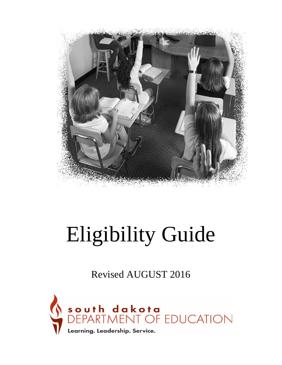

# Eligibility Guide

Revised AUGUST 2016

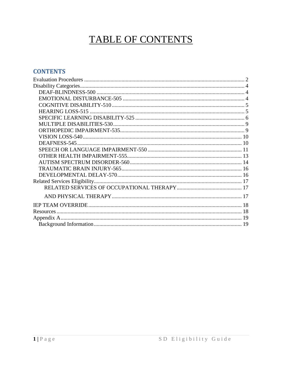# TABLE OF CONTENTS

#### **CONTENTS**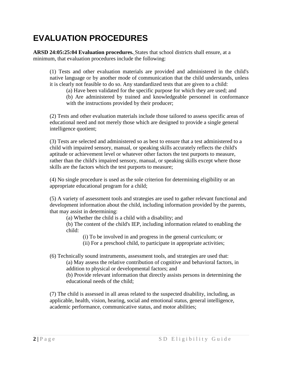# <span id="page-2-0"></span>**EVALUATION PROCEDURES**

**ARSD 24:05:25:04 Evaluation procedures.** States that school districts shall ensure, at a minimum, that evaluation procedures include the following:

(1) Tests and other evaluation materials are provided and administered in the child's native language or by another mode of communication that the child understands, unless it is clearly not feasible to do so. Any standardized tests that are given to a child:

(a) Have been validated for the specific purpose for which they are used; and

(b) Are administered by trained and knowledgeable personnel in conformance with the instructions provided by their producer;

(2) Tests and other evaluation materials include those tailored to assess specific areas of educational need and not merely those which are designed to provide a single general intelligence quotient;

(3) Tests are selected and administered so as best to ensure that a test administered to a child with impaired sensory, manual, or speaking skills accurately reflects the child's aptitude or achievement level or whatever other factors the test purports to measure, rather than the child's impaired sensory, manual, or speaking skills except where those skills are the factors which the test purports to measure;

(4) No single procedure is used as the sole criterion for determining eligibility or an appropriate educational program for a child;

(5) A variety of assessment tools and strategies are used to gather relevant functional and development information about the child, including information provided by the parents, that may assist in determining:

(a) Whether the child is a child with a disability; and

(b) The content of the child's IEP, including information related to enabling the child:

(i) To be involved in and progress in the general curriculum; or

(ii) For a preschool child, to participate in appropriate activities;

(6) Technically sound instruments, assessment tools, and strategies are used that:

(a) May assess the relative contribution of cognitive and behavioral factors, in addition to physical or developmental factors; and

(b) Provide relevant information that directly assists persons in determining the educational needs of the child;

(7) The child is assessed in all areas related to the suspected disability, including, as applicable, health, vision, hearing, social and emotional status, general intelligence, academic performance, communicative status, and motor abilities;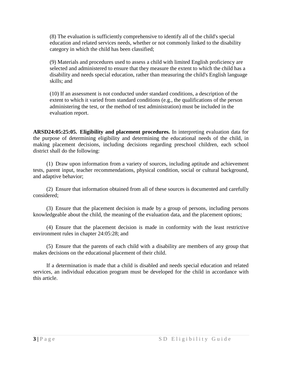(8) The evaluation is sufficiently comprehensive to identify all of the child's special education and related services needs, whether or not commonly linked to the disability category in which the child has been classified;

(9) Materials and procedures used to assess a child with limited English proficiency are selected and administered to ensure that they measure the extent to which the child has a disability and needs special education, rather than measuring the child's English language skills; and

(10) If an assessment is not conducted under standard conditions, a description of the extent to which it varied from standard conditions (e.g., the qualifications of the person administering the test, or the method of test administration) must be included in the evaluation report.

**ARSD24:05:25:05. Eligibility and placement procedures.** In interpreting evaluation data for the purpose of determining eligibility and determining the educational needs of the child, in making placement decisions, including decisions regarding preschool children, each school district shall do the following:

(1) Draw upon information from a variety of sources, including aptitude and achievement tests, parent input, teacher recommendations, physical condition, social or cultural background, and adaptive behavior;

(2) Ensure that information obtained from all of these sources is documented and carefully considered;

(3) Ensure that the placement decision is made by a group of persons, including persons knowledgeable about the child, the meaning of the evaluation data, and the placement options;

(4) Ensure that the placement decision is made in conformity with the least restrictive environment rules in chapter 24:05:28; and

(5) Ensure that the parents of each child with a disability are members of any group that makes decisions on the educational placement of their child.

If a determination is made that a child is disabled and needs special education and related services, an individual education program must be developed for the child in accordance with this article.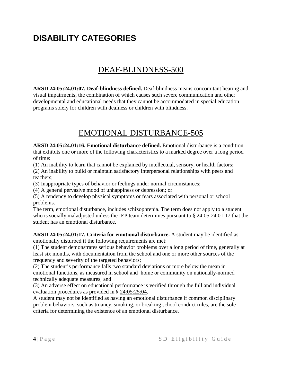# <span id="page-4-0"></span>**DISABILITY CATEGORIES**

#### DEAF-BLINDNESS-500

<span id="page-4-1"></span>**ARSD 24:05:24.01:07. Deaf-blindness defined.** Deaf-blindness means concomitant hearing and visual impairments, the combination of which causes such severe communication and other developmental and educational needs that they cannot be accommodated in special education programs solely for children with deafness or children with blindness.

#### EMOTIONAL DISTURBANCE-505

<span id="page-4-2"></span>**ARSD 24:05:24.01:16. Emotional disturbance defined.** Emotional disturbance is a condition that exhibits one or more of the following characteristics to a marked degree over a long period of time:

(1) An inability to learn that cannot be explained by intellectual, sensory, or health factors;

(2) An inability to build or maintain satisfactory interpersonal relationships with peers and teachers;

(3) Inappropriate types of behavior or feelings under normal circumstances;

(4) A general pervasive mood of unhappiness or depression; or

(5) A tendency to develop physical symptoms or fears associated with personal or school problems.

The term, emotional disturbance, includes schizophrenia. The term does not apply to a student who is socially maladjusted unless the IEP team determines pursuant to § 24:05:24.01:17 that the student has an emotional disturbance.

**ARSD 24:05:24.01:17. Criteria for emotional disturbance.** A student may be identified as emotionally disturbed if the following requirements are met:

(1) The student demonstrates serious behavior problems over a long period of time, generally at least six months, with documentation from the school and one or more other sources of the frequency and severity of the targeted behaviors;

(2) The student's performance falls two standard deviations or more below the mean in emotional functions, as measured in school and home or community on nationally-normed technically adequate measures; and

(3) An adverse effect on educational performance is verified through the full and individual evaluation procedures as provided in § 24:05:25:04.

A student may not be identified as having an emotional disturbance if common disciplinary problem behaviors, such as truancy, smoking, or breaking school conduct rules, are the sole criteria for determining the existence of an emotional disturbance.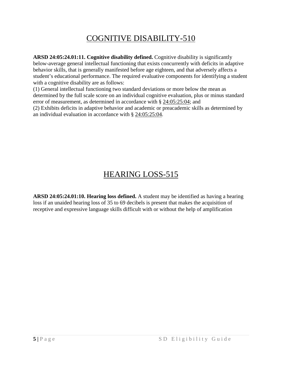## COGNITIVE DISABILITY-510

<span id="page-5-0"></span>**ARSD 24:05:24.01:11. Cognitive disability defined.** Cognitive disability is significantly below-average general intellectual functioning that exists concurrently with deficits in adaptive behavior skills, that is generally manifested before age eighteen, and that adversely affects a student's educational performance. The required evaluative components for identifying a student with a cognitive disability are as follows:

(1) General intellectual functioning two standard deviations or more below the mean as determined by the full scale score on an individual cognitive evaluation, plus or minus standard error of measurement, as determined in accordance with § 24:05:25:04; and

(2) Exhibits deficits in adaptive behavior and academic or preacademic skills as determined by an individual evaluation in accordance with § 24:05:25:04.

## HEARING LOSS-515

<span id="page-5-1"></span>**ARSD 24:05:24.01:10. Hearing loss defined.** A student may be identified as having a hearing loss if an unaided hearing loss of 35 to 69 decibels is present that makes the acquisition of receptive and expressive language skills difficult with or without the help of amplification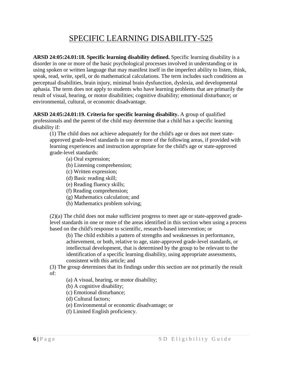#### SPECIFIC LEARNING DISABILITY-525

<span id="page-6-0"></span>**ARSD 24:05:24.01:18. Specific learning disability defined.** Specific learning disability is a disorder in one or more of the basic psychological processes involved in understanding or in using spoken or written language that may manifest itself in the imperfect ability to listen, think, speak, read, write, spell, or do mathematical calculations. The term includes such conditions as perceptual disabilities, brain injury, minimal brain dysfunction, dyslexia, and developmental aphasia. The term does not apply to students who have learning problems that are primarily the result of visual, hearing, or motor disabilities; cognitive disability; emotional disturbance; or environmental, cultural, or economic disadvantage.

**ARSD 24:05:24.01:19. Criteria for specific learning disability.** A group of qualified professionals and the parent of the child may determine that a child has a specific learning disability if:

(1) The child does not achieve adequately for the child's age or does not meet stateapproved grade-level standards in one or more of the following areas, if provided with learning experiences and instruction appropriate for the child's age or state-approved grade-level standards:

(a) Oral expression;

- (b) Listening comprehension;
- (c) Written expression;
- (d) Basic reading skill;
- (e) Reading fluency skills;
- (f) Reading comprehension;
- (g) Mathematics calculation; and
- (h) Mathematics problem solving;

(2)(a) The child does not make sufficient progress to meet age or state-approved gradelevel standards in one or more of the areas identified in this section when using a process based on the child's response to scientific, research-based intervention; or

(b) The child exhibits a pattern of strengths and weaknesses in performance, achievement, or both, relative to age, state-approved grade-level standards, or intellectual development, that is determined by the group to be relevant to the identification of a specific learning disability, using appropriate assessments, consistent with this article; and

(3) The group determines that its findings under this section are not primarily the result of:

(a) A visual, hearing, or motor disability;

- (b) A cognitive disability;
- (c) Emotional disturbance;
- (d) Cultural factors;
- (e) Environmental or economic disadvantage; or
- (f) Limited English proficiency.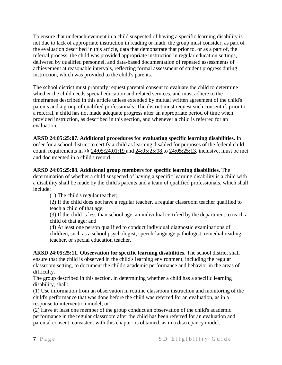To ensure that underachievement in a child suspected of having a specific learning disability is not due to lack of appropriate instruction in reading or math, the group must consider, as part of the evaluation described in this article, data that demonstrate that prior to, or as a part of, the referral process, the child was provided appropriate instruction in regular education settings, delivered by qualified personnel, and data-based documentation of repeated assessments of achievement at reasonable intervals, reflecting formal assessment of student progress during instruction, which was provided to the child's parents.

The school district must promptly request parental consent to evaluate the child to determine whether the child needs special education and related services, and must adhere to the timeframes described in this article unless extended by mutual written agreement of the child's parents and a group of qualified professionals. The district must request such consent if, prior to a referral, a child has not made adequate progress after an appropriate period of time when provided instruction, as described in this section, and whenever a child is referred for an evaluation.

#### **ARSD 24:05:25:07. Additional procedures for evaluating specific learning disabilities.** In

order for a school district to certify a child as learning disabled for purposes of the federal child count, requirements in §§ 24:05:24.01:19 and 24:05:25:08 to 24:05:25:13, inclusive, must be met and documented in a child's record.

#### **ARSD 24:05:25:08. Additional group members for specific learning disabilities.** The

determination of whether a child suspected of having a specific learning disability is a child with a disability shall be made by the child's parents and a team of qualified professionals, which shall include:

(1) The child's regular teacher;

(2) If the child does not have a regular teacher, a regular classroom teacher qualified to teach a child of that age;

(3) If the child is less than school age, an individual certified by the department to teach a child of that age; and

(4) At least one person qualified to conduct individual diagnostic examinations of children, such as a school psychologist, speech-language pathologist, remedial reading teacher, or special education teacher.

**ARSD 24:05:25:11. Observation for specific learning disabilities.** The school district shall ensure that the child is observed in the child's learning environment, including the regular classroom setting, to document the child's academic performance and behavior in the areas of difficulty.

The group described in this section, in determining whether a child has a specific learning disability, shall:

(1) Use information from an observation in routine classroom instruction and monitoring of the child's performance that was done before the child was referred for an evaluation, as in a response to intervention model; or

(2) Have at least one member of the group conduct an observation of the child's academic performance in the regular classroom after the child has been referred for an evaluation and parental consent, consistent with this chapter, is obtained, as in a discrepancy model.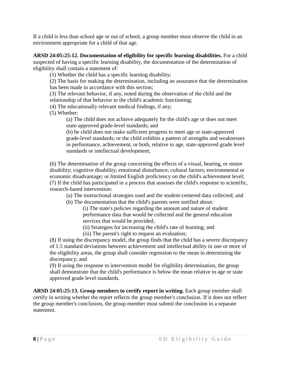If a child is less than school age or out of school, a group member must observe the child in an environment appropriate for a child of that age.

#### **ARSD 24:05:25:12. Documentation of eligibility for specific learning disabilities.** For a child

suspected of having a specific learning disability, the documentation of the determination of eligibility shall contain a statement of:

(1) Whether the child has a specific learning disability;

(2) The basis for making the determination, including an assurance that the determination has been made in accordance with this section;

(3) The relevant behavior, if any, noted during the observation of the child and the relationship of that behavior to the child's academic functioning;

(4) The educationally relevant medical findings, if any;

(5) Whether:

(a) The child does not achieve adequately for the child's age or does not meet state-approved grade-level standards; and

(b) he child does not make sufficient progress to meet age or state-approved grade-level standards; or the child exhibits a pattern of strengths and weaknesses in performance, achievement, or both, relative to age, state-approved grade level standards or intellectual development;

(6) The determination of the group concerning the effects of a visual, hearing, or motor disability; cognitive disability; emotional disturbance; cultural factors; environmental or economic disadvantage; or limited English proficiency on the child's achievement level; (7) If the child has participated in a process that assesses the child's response to scientific, research-based intervention:

(a) The instructional strategies used and the student-centered data collected; and

(b) The documentation that the child's parents were notified about:

(i) The state's policies regarding the amount and nature of student performance data that would be collected and the general education services that would be provided;

(ii) Strategies for increasing the child's rate of learning; and

(iii) The parent's right to request an evaluation;

(8) If using the discrepancy model, the group finds that the child has a severe discrepancy of 1.5 standard deviations between achievement and intellectual ability in one or more of the eligibility areas, the group shall consider regression to the mean in determining the discrepancy; and

(9) If using the response to intervention model for eligibility determination, the group shall demonstrate that the child's performance is below the mean relative to age or state approved grade level standards.

**ARSD 24:05:25:13. Group members to certify report in writing.** Each group member shall certify in writing whether the report reflects the group member's conclusion. If it does not reflect the group member's conclusion, the group member must submit the conclusion in a separate statement.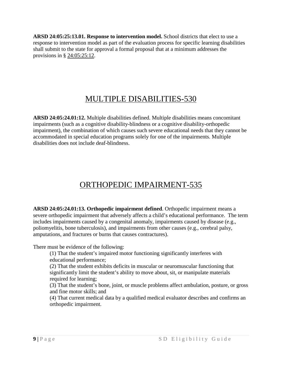**ARSD 24:05:25:13.01. Response to intervention model.** School districts that elect to use a response to intervention model as part of the evaluation process for specific learning disabilities shall submit to the state for approval a formal proposal that at a minimum addresses the provisions in § 24:05:25:12.

#### MULTIPLE DISABILITIES-530

<span id="page-9-0"></span>**ARSD 24:05:24.01:12.** Multiple disabilities defined. Multiple disabilities means concomitant impairments (such as a cognitive disability-blindness or a cognitive disability-orthopedic impairment), the combination of which causes such severe educational needs that they cannot be accommodated in special education programs solely for one of the impairments. Multiple disabilities does not include deaf-blindness.

## ORTHOPEDIC IMPAIRMENT-535

<span id="page-9-1"></span>**ARSD 24:05:24.01:13. Orthopedic impairment defined**. Orthopedic impairment means a severe orthopedic impairment that adversely affects a child's educational performance. The term includes impairments caused by a congenital anomaly, impairments caused by disease (e.g., poliomyelitis, bone tuberculosis), and impairments from other causes (e.g., cerebral palsy, amputations, and fractures or burns that causes contractures).

There must be evidence of the following:

(1) That the student's impaired motor functioning significantly interferes with educational performance;

(2) That the student exhibits deficits in muscular or neuromuscular functioning that significantly limit the student's ability to move about, sit, or manipulate materials required for learning;

(3) That the student's bone, joint, or muscle problems affect ambulation, posture, or gross and fine motor skills; and

(4) That current medical data by a qualified medical evaluator describes and confirms an orthopedic impairment.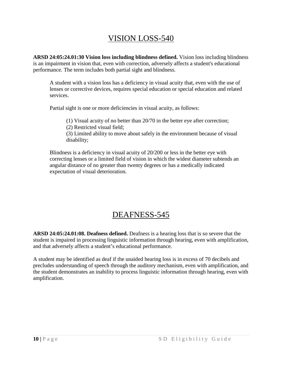#### VISION LOSS-540

<span id="page-10-0"></span>**ARSD 24:05:24.01:30 Vision loss including blindness defined.** Vision loss including blindness is an impairment in vision that, even with correction, adversely affects a student's educational performance. The term includes both partial sight and blindness.

A student with a vision loss has a deficiency in visual acuity that, even with the use of lenses or corrective devices, requires special education or special education and related services.

Partial sight is one or more deficiencies in visual acuity, as follows:

(1) Visual acuity of no better than 20/70 in the better eye after correction;

(2) Restricted visual field;

(3) Limited ability to move about safely in the environment because of visual disability;

Blindness is a deficiency in visual acuity of 20/200 or less in the better eye with correcting lenses or a limited field of vision in which the widest diameter subtends an angular distance of no greater than twenty degrees or has a medically indicated expectation of visual deterioration.

#### DEAFNESS-545

<span id="page-10-1"></span>**ARSD 24:05:24.01:08. Deafness defined.** Deafness is a hearing loss that is so severe that the student is impaired in processing linguistic information through hearing, even with amplification, and that adversely affects a student's educational performance.

A student may be identified as deaf if the unaided hearing loss is in excess of 70 decibels and precludes understanding of speech through the auditory mechanism, even with amplification, and the student demonstrates an inability to process linguistic information through hearing, even with amplification.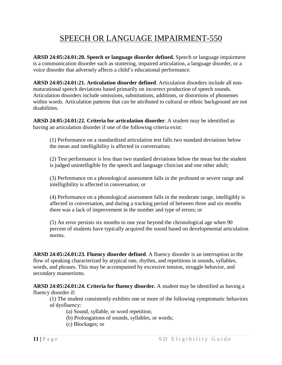### SPEECH OR LANGUAGE IMPAIRMENT-550

<span id="page-11-0"></span>**ARSD 24:05:24.01:20. Speech or language disorder defined.** Speech or language impairment is a communication disorder such as stuttering, impaired articulation, a language disorder, or a voice disorder that adversely affects a child's educational performance.

**ARSD 24:05:24.01:21. Articulation disorder defined**. Articulation disorders include all nonmaturational speech deviations based primarily on incorrect production of speech sounds. Articulation disorders include omissions, substitutions, additions, or distortions of phonemes within words. Articulation patterns that can be attributed to cultural or ethnic background are not disabilities.

**ARSD 24:05:24.01:22. Criteria for articulation disorder**. A student may be identified as having an articulation disorder if one of the following criteria exist:

(1) Performance on a standardized articulation test falls two standard deviations below the mean and intelligibility is affected in conversation;

(2) Test performance is less than two standard deviations below the mean but the student is judged unintelligible by the speech and language clinician and one other adult;

(3) Performance on a phonological assessment falls in the profound or severe range and intelligibility is affected in conversation; or

(4) Performance on a phonological assessment falls in the moderate range, intelligibly is affected in conversation, and during a tracking period of between three and six months there was a lack of improvement in the number and type of errors; or

(5) An error persists six months to one year beyond the chronological age when 90 percent of students have typically acquired the sound based on developmental articulation norms.

**ARSD 24:05:24.01:23. Fluency disorder defined**. A fluency disorder is an interruption in the flow of speaking characterized by atypical rate, rhythm, and repetitions in sounds, syllables, words, and phrases. This may be accompanied by excessive tension, struggle behavior, and secondary mannerisms.

**ARSD 24:05:24.01:24. Criteria for fluency disorder.** A student may be identified as having a fluency disorder if:

(1) The student consistently exhibits one or more of the following symptomatic behaviors of dysfluency:

(a) Sound, syllable, or word repetition;

- (b) Prolongations of sounds, syllables, or words;
- (c) Blockages; or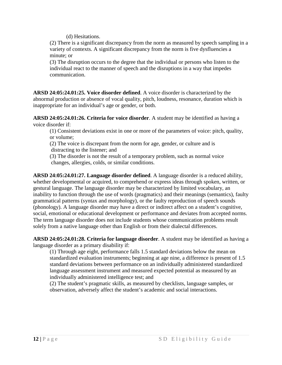(d) Hesitations.

(2) There is a significant discrepancy from the norm as measured by speech sampling in a variety of contexts. A significant discrepancy from the norm is five dysfluencies a minute; or

(3) The disruption occurs to the degree that the individual or persons who listen to the individual react to the manner of speech and the disruptions in a way that impedes communication.

**ARSD 24:05:24.01:25. Voice disorder defined**. A voice disorder is characterized by the abnormal production or absence of vocal quality, pitch, loudness, resonance, duration which is inappropriate for an individual's age or gender, or both.

**ARSD 24:05:24.01:26. Criteria for voice disorder**. A student may be identified as having a voice disorder if:

(1) Consistent deviations exist in one or more of the parameters of voice: pitch, quality, or volume;

(2) The voice is discrepant from the norm for age, gender, or culture and is distracting to the listener; and

(3) The disorder is not the result of a temporary problem, such as normal voice changes, allergies, colds, or similar conditions.

**ARSD 24:05:24.01:27. Language disorder defined**. A language disorder is a reduced ability, whether developmental or acquired, to comprehend or express ideas through spoken, written, or gestural language. The language disorder may be characterized by limited vocabulary, an inability to function through the use of words (pragmatics) and their meanings (semantics), faulty grammatical patterns (syntax and morphology), or the faulty reproduction of speech sounds (phonology). A language disorder may have a direct or indirect affect on a student's cognitive, social, emotional or educational development or performance and deviates from accepted norms. The term language disorder does not include students whose communication problems result solely from a native language other than English or from their dialectal differences.

**ARSD 24:05:24.01:28. Criteria for language disorder**. A student may be identified as having a language disorder as a primary disability if:

(1) Through age eight, performance falls 1.5 standard deviations below the mean on standardized evaluation instruments; beginning at age nine, a difference is present of 1.5 standard deviations between performance on an individually administered standardized language assessment instrument and measured expected potential as measured by an individually administered intelligence test; and

(2) The student's pragmatic skills, as measured by checklists, language samples, or observation, adversely affect the student's academic and social interactions.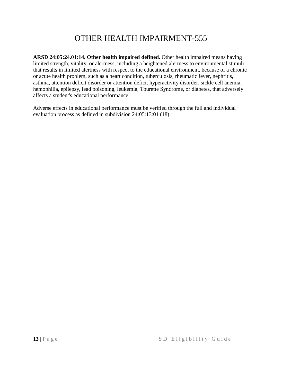### OTHER HEALTH IMPAIRMENT-555

<span id="page-13-0"></span>**ARSD 24:05:24.01:14. Other health impaired defined.** Other health impaired means having limited strength, vitality, or alertness, including a heightened alertness to environmental stimuli that results in limited alertness with respect to the educational environment, because of a chronic or acute health problem, such as a heart condition, tuberculosis, rheumatic fever, nephritis, asthma, attention deficit disorder or attention deficit hyperactivity disorder, sickle cell anemia, hemophilia, epilepsy, lead poisoning, leukemia, Tourette Syndrome, or diabetes, that adversely affects a student's educational performance.

Adverse effects in educational performance must be verified through the full and individual evaluation process as defined in subdivision 24:05:13:01 (18).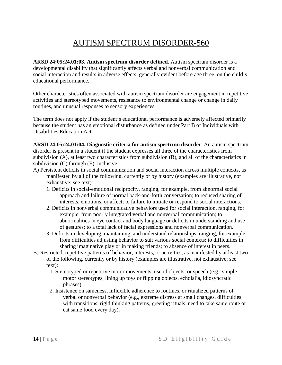### AUTISM SPECTRUM DISORDER-560

<span id="page-14-0"></span>**ARSD 24:05:24.01:03. Autism spectrum disorder defined**. Autism spectrum disorder is a developmental disability that significantly affects verbal and nonverbal communication and social interaction and results in adverse effects, generally evident before age three, on the child's educational performance.

Other characteristics often associated with autism spectrum disorder are engagement in repetitive activities and stereotyped movements, resistance to environmental change or change in daily routines, and unusual responses to sensory experiences.

The term does not apply if the student's educational performance is adversely affected primarily because the student has an emotional disturbance as defined under Part B of Individuals with Disabilities Education Act.

**ARSD 24:05:24.01:04. Diagnostic criteria for autism spectrum disorder**. An autism spectrum disorder is present in a student if the student expresses all three of the characteristics from subdivision (A), at least two characteristics from subdivision (B), and all of the characteristics in subdivision (C) through (E), inclusive:

- A) Persistent deficits in social communication and social interaction across multiple contexts, as manifested by all of the following, currently or by history (examples are illustrative, not exhaustive; see text):
	- 1. Deficits in social-emotional reciprocity, ranging, for example, from abnormal social approach and failure of normal back-and-forth conversation; to reduced sharing of interests, emotions, or affect; to failure to initiate or respond to social interactions.
	- 2. Deficits in nonverbal communicative behaviors used for social interaction, ranging, for example, from poorly integrated verbal and nonverbal communication; to abnormalities in eye contact and body language or deficits in understanding and use of gestures; to a total lack of facial expressions and nonverbal communication.
	- 3. Deficits in developing, maintaining, and understand relationships, ranging, for example, from difficulties adjusting behavior to suit various social contexts; to difficulties in sharing imaginative play or in making friends; to absence of interest in peers.
- B) Restricted, repetitive patterns of behavior, interests, or activities, as manifested by at least two of the following, currently or by history (examples are illustrative, not exhaustive; see text):
	- 1. Stereotyped or repetitive motor movements, use of objects, or speech (e.g., simple motor stereotypes, lining up toys or flipping objects, echolalia, idiosyncratic phrases).
	- 2. Insistence on sameness, inflexible adherence to routines, or ritualized patterns of verbal or nonverbal behavior (e.g., extreme distress at small changes, difficulties with transitions, rigid thinking patterns, greeting rituals, need to take same route or eat same food every day).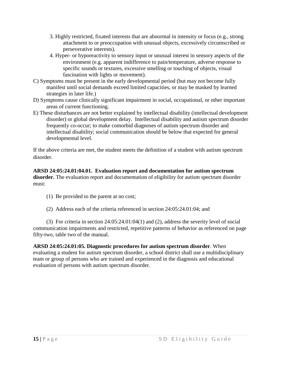- 3. Highly restricted, fixated interests that are abnormal in intensity or focus (e.g., strong attachment to or preoccupation with unusual objects, excessively circumscribed or perseverative interests).
- 4. Hyper- or hyporeactivity to sensory input or unusual interest in sensory aspects of the environment (e.g. apparent indifference to pain/temperature, adverse response to specific sounds or textures, excessive smelling or touching of objects, visual fascination with lights or movement).
- C) Symptoms must be present in the early developmental period (but may not become fully manifest until social demands exceed limited capacities, or may be masked by learned strategies in later life.)
- D) Symptoms cause clinically significant impairment in social, occupational, or other important areas of current functioning.
- E) These disturbances are not better explained by intellectual disability (intellectual development disorder) or global development delay. Intellectual disability and autism spectrum disorder frequently co-occur; to make comorbid diagnoses of autism spectrum disorder and intellectual disability; social communication should be below that expected for general developmental level.

If the above criteria are met, the student meets the definition of a student with autism spectrum disorder.

**ARSD 24:05:24.01:04.01. Evaluation report and documentation for autism spectrum disorder.** The evaluation report and documentation of eligibility for autism spectrum disorder must:

- (1) Be provided to the parent at no cost;
- (2) Address each of the criteria referenced in section 24:05:24.01:04; and

(3) For criteria in section 24:05:24.01:04(1) and (2), address the severity level of social communication impairments and restricted, repetitive patterns of behavior as referenced on page fifty-two, table two of the manual.

**ARSD 24:05:24.01:05. Diagnostic procedures for autism spectrum disorder**. When evaluating a student for autism spectrum disorder, a school district shall use a multidisciplinary team or group of persons who are trained and experienced in the diagnosis and educational evaluation of persons with autism spectrum disorder.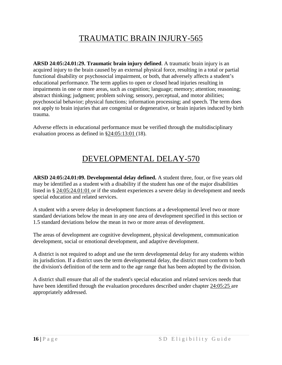## TRAUMATIC BRAIN INJURY-565

<span id="page-16-0"></span>**ARSD 24:05:24.01:29. Traumatic brain injury defined**. A traumatic brain injury is an acquired injury to the brain caused by an external physical force, resulting in a total or partial functional disability or psychosocial impairment, or both, that adversely affects a student's educational performance. The term applies to open or closed head injuries resulting in impairments in one or more areas, such as cognition; language; memory; attention; reasoning; abstract thinking; judgment; problem solving; sensory, perceptual, and motor abilities; psychosocial behavior; physical functions; information processing; and speech. The term does not apply to brain injuries that are congenital or degenerative, or brain injuries induced by birth trauma.

Adverse effects in educational performance must be verified through the multidisciplinary evaluation process as defined in §24:05:13:01 (18).

#### DEVELOPMENTAL DELAY-570

<span id="page-16-1"></span>**ARSD 24:05:24.01:09. Developmental delay defined.** A student three, four, or five years old may be identified as a student with a disability if the student has one of the major disabilities listed in § 24:05:24.01:01 or if the student experiences a severe delay in development and needs special education and related services.

A student with a severe delay in development functions at a developmental level two or more standard deviations below the mean in any one area of development specified in this section or 1.5 standard deviations below the mean in two or more areas of development.

The areas of development are cognitive development, physical development, communication development, social or emotional development, and adaptive development.

A district is not required to adopt and use the term developmental delay for any students within its jurisdiction. If a district uses the term developmental delay, the district must conform to both the division's definition of the term and to the age range that has been adopted by the division.

A district shall ensure that all of the student's special education and related services needs that have been identified through the evaluation procedures described under chapter 24:05:25 are appropriately addressed.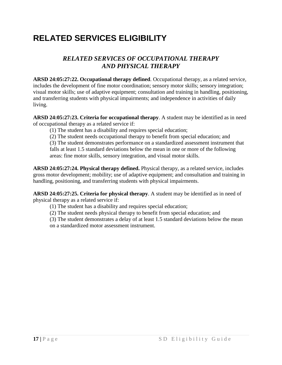# <span id="page-17-0"></span>**RELATED SERVICES ELIGIBILITY**

#### *RELATED SERVICES OF OCCUPATIONAL THERAPY AND PHYSICAL THERAPY*

<span id="page-17-2"></span><span id="page-17-1"></span>**ARSD 24:05:27:22. Occupational therapy defined**. Occupational therapy, as a related service, includes the development of fine motor coordination; sensory motor skills; sensory integration; visual motor skills; use of adaptive equipment; consultation and training in handling, positioning, and transferring students with physical impairments; and independence in activities of daily living.

**ARSD 24:05:27:23. Criteria for occupational therapy**. A student may be identified as in need of occupational therapy as a related service if:

- (1) The student has a disability and requires special education;
- (2) The student needs occupational therapy to benefit from special education; and

(3) The student demonstrates performance on a standardized assessment instrument that falls at least 1.5 standard deviations below the mean in one or more of the following areas: fine motor skills, sensory integration, and visual motor skills.

**ARSD 24:05:27:24. Physical therapy defined.** Physical therapy, as a related service, includes gross motor development; mobility; use of adaptive equipment; and consultation and training in handling, positioning, and transferring students with physical impairments.

**ARSD 24:05:27:25. Criteria for physical therapy**. A student may be identified as in need of physical therapy as a related service if:

- (1) The student has a disability and requires special education;
- (2) The student needs physical therapy to benefit from special education; and

(3) The student demonstrates a delay of at least 1.5 standard deviations below the mean on a standardized motor assessment instrument.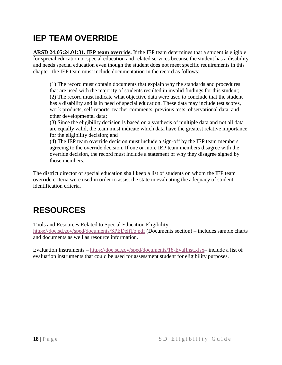# <span id="page-18-0"></span>**IEP TEAM OVERRIDE**

**ARSD 24:05:24.01:31. IEP team override.** If the IEP team determines that a student is eligible for special education or special education and related services because the student has a disability and needs special education even though the student does not meet specific requirements in this chapter, the IEP team must include documentation in the record as follows:

(1) The record must contain documents that explain why the standards and procedures that are used with the majority of students resulted in invalid findings for this student; (2) The record must indicate what objective data were used to conclude that the student has a disability and is in need of special education. These data may include test scores, work products, self-reports, teacher comments, previous tests, observational data, and other developmental data;

(3) Since the eligibility decision is based on a synthesis of multiple data and not all data are equally valid, the team must indicate which data have the greatest relative importance for the eligibility decision; and

(4) The IEP team override decision must include a sign-off by the IEP team members agreeing to the override decision. If one or more IEP team members disagree with the override decision, the record must include a statement of why they disagree signed by those members.

The district director of special education shall keep a list of students on whom the IEP team override criteria were used in order to assist the state in evaluating the adequacy of student identification criteria.

# <span id="page-18-1"></span>**RESOURCES**

Tools and Resources Related to Special Education Eligibility –

<https://doe.sd.gov/sped/documents/SPEDeliTo.pdf> (Documents section) – includes sample charts and documents as well as resource information.

Evaluation Instruments – [https://doe.sd.gov/sped/documents/18-EvalInst.xlsx–](https://doe.sd.gov/sped/documents/18-EvalInst.xlsx) include a list of evaluation instruments that could be used for assessment student for eligibility purposes.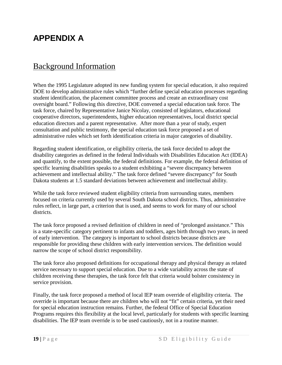## <span id="page-19-0"></span>**APPENDIX A**

#### <span id="page-19-1"></span>Background Information

When the 1995 Legislature adopted its new funding system for special education, it also required DOE to develop administrative rules which "further define special education processes regarding student identification, the placement committee process and create an extraordinary cost oversight board." Following this directive, DOE convened a special education task force. The task force, chaired by Representative Janice Nicolay, consisted of legislators, educational cooperative directors, superintendents, higher education representatives, local district special education directors and a parent representative. After more than a year of study, expert consultation and public testimony, the special education task force proposed a set of administrative rules which set forth identification criteria in major categories of disability.

Regarding student identification, or eligibility criteria, the task force decided to adopt the disability categories as defined in the federal Individuals with Disabilities Education Act (IDEA) and quantify, to the extent possible, the federal definitions. For example, the federal definition of specific learning disabilities speaks to a student exhibiting a "severe discrepancy between achievement and intellectual ability." The task force defined "severe discrepancy" for South Dakota students at 1.5 standard deviations between achievement and intellectual ability.

While the task force reviewed student eligibility criteria from surrounding states, members focused on criteria currently used by several South Dakota school districts. Thus, administrative rules reflect, in large part, a criterion that is used, and seems to work for many of our school districts.

The task force proposed a revised definition of children in need of "prolonged assistance." This is a state-specific category pertinent to infants and toddlers, ages birth through two years, in need of early intervention. The category is important to school districts because districts are responsible for providing these children with early intervention services. The definition would narrow the scope of school district responsibility.

The task force also proposed definitions for occupational therapy and physical therapy as related service necessary to support special education. Due to a wide variability across the state of children receiving these therapies, the task force felt that criteria would bolster consistency in service provision.

Finally, the task force proposed a method of local IEP team override of eligibility criteria. The override is important because there are children who will not "fit" certain criteria, yet their need for special education instruction remains. Further, the federal Office of Special Education Programs requires this flexibility at the local level, particularly for students with specific learning disabilities. The IEP team override is to be used cautiously, not in a routine manner.